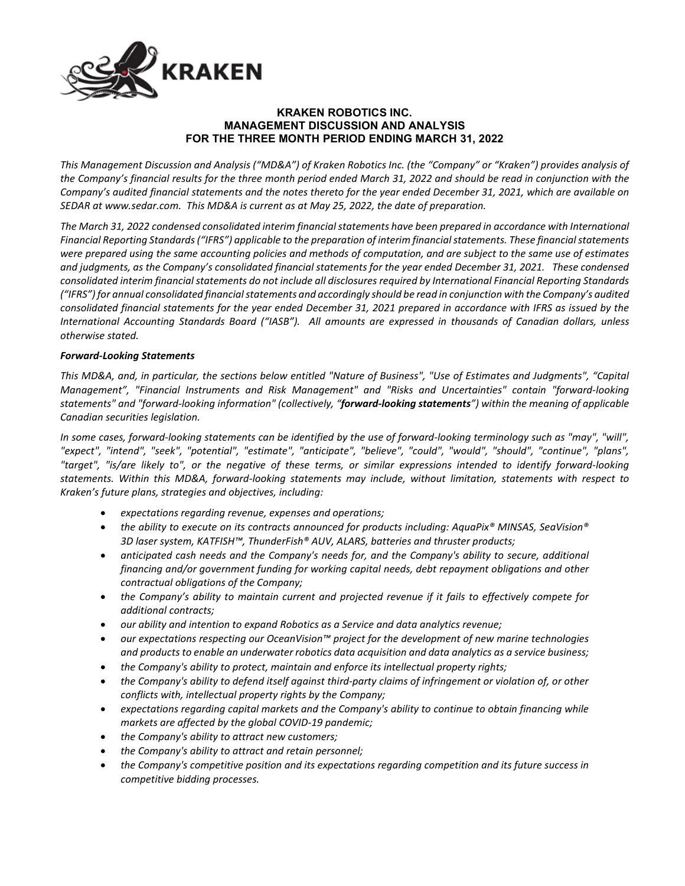

# **KRAKEN ROBOTICS INC. MANAGEMENT DISCUSSION AND ANALYSIS FOR THE THREE MONTH PERIOD ENDING MARCH 31, 2022**

*This Management Discussion and Analysis ("MD&A") of Kraken Robotics Inc. (the "Company" or "Kraken") provides analysis of the Company's financial results for the three month period ended March 31, 2022 and should be read in conjunction with the Company's audited financial statements and the notes thereto for the year ended December 31, 2021, which are available on SEDAR at www.sedar.com. This MD&A is current as at May 25, 2022, the date of preparation.*

*The March 31, 2022 condensed consolidated interim financial statements have been prepared in accordance with International Financial Reporting Standards ("IFRS") applicable to the preparation of interim financial statements. These financial statements were prepared using the same accounting policies and methods of computation, and are subject to the same use of estimates and judgments, as the Company's consolidated financial statements for the year ended December 31, 2021. These condensed consolidated interim financial statements do not include all disclosures required by International Financial Reporting Standards ("IFRS") for annual consolidated financial statements and accordingly should be read in conjunction with the Company's audited consolidated financial statements for the year ended December 31, 2021 prepared in accordance with IFRS as issued by the International Accounting Standards Board ("IASB"). All amounts are expressed in thousands of Canadian dollars, unless otherwise stated.*

# *Forward-Looking Statements*

*This MD&A, and, in particular, the sections below entitled "Nature of Business", "Use of Estimates and Judgments", "Capital Management", "Financial Instruments and Risk Management" and "Risks and Uncertainties" contain "forward-looking statements" and "forward-looking information" (collectively, "forward-looking statements") within the meaning of applicable Canadian securities legislation.* 

*In some cases, forward-looking statements can be identified by the use of forward-looking terminology such as "may", "will", "expect", "intend", "seek", "potential", "estimate", "anticipate", "believe", "could", "would", "should", "continue", "plans", "target", "is/are likely to", or the negative of these terms, or similar expressions intended to identify forward-looking statements. Within this MD&A, forward-looking statements may include, without limitation, statements with respect to Kraken's future plans, strategies and objectives, including:*

- *expectations regarding revenue, expenses and operations;*
- *the ability to execute on its contracts announced for products including: AquaPix® MINSAS, SeaVision® 3D laser system, KATFISH™, ThunderFish® AUV, ALARS, batteries and thruster products;*
- *anticipated cash needs and the Company's needs for, and the Company's ability to secure, additional financing and/or government funding for working capital needs, debt repayment obligations and other contractual obligations of the Company;*
- *the Company's ability to maintain current and projected revenue if it fails to effectively compete for additional contracts;*
- *our ability and intention to expand Robotics as a Service and data analytics revenue;*
- *our expectations respecting our OceanVision™ project for the development of new marine technologies and products to enable an underwater robotics data acquisition and data analytics as a service business;*
- *the Company's ability to protect, maintain and enforce its intellectual property rights;*
- *the Company's ability to defend itself against third-party claims of infringement or violation of, or other conflicts with, intellectual property rights by the Company;*
- *expectations regarding capital markets and the Company's ability to continue to obtain financing while markets are affected by the global COVID-19 pandemic;*
- *the Company's ability to attract new customers;*
- *the Company's ability to attract and retain personnel;*
- *the Company's competitive position and its expectations regarding competition and its future success in competitive bidding processes.*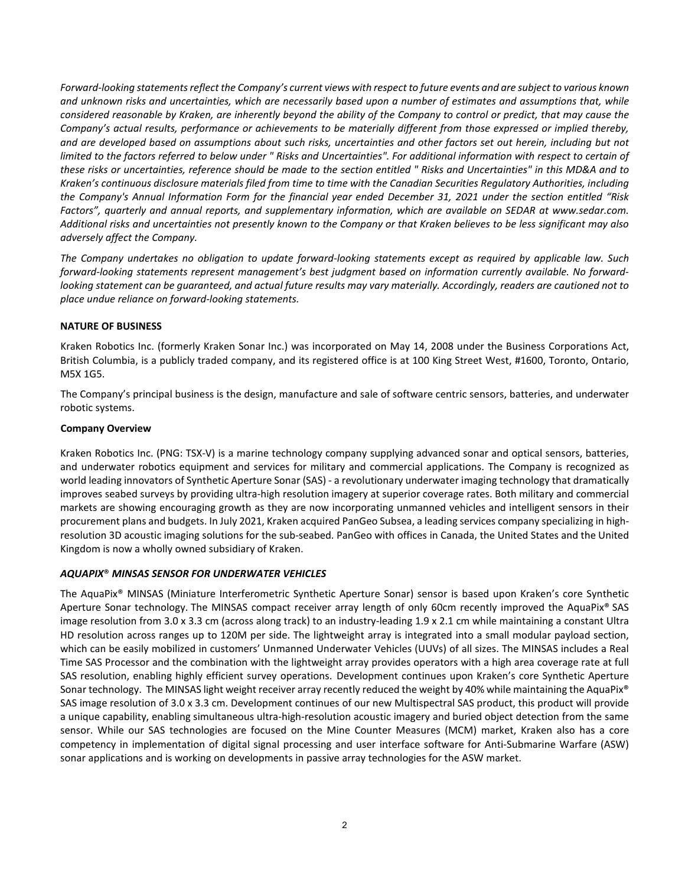*Forward-looking statements reflect the Company's current views with respect to future events and are subject to various known and unknown risks and uncertainties, which are necessarily based upon a number of estimates and assumptions that, while considered reasonable by Kraken, are inherently beyond the ability of the Company to control or predict, that may cause the Company's actual results, performance or achievements to be materially different from those expressed or implied thereby, and are developed based on assumptions about such risks, uncertainties and other factors set out herein, including but not limited to the factors referred to below under " Risks and Uncertainties". For additional information with respect to certain of these risks or uncertainties, reference should be made to the section entitled " Risks and Uncertainties" in this MD&A and to Kraken's continuous disclosure materials filed from time to time with the Canadian Securities Regulatory Authorities, including the Company's Annual Information Form for the financial year ended December 31, 2021 under the section entitled "Risk*  Factors", quarterly and annual reports, and supplementary information, which are available on SEDAR at www.sedar.com. *Additional risks and uncertainties not presently known to the Company or that Kraken believes to be less significant may also adversely affect the Company.* 

*The Company undertakes no obligation to update forward-looking statements except as required by applicable law. Such forward-looking statements represent management's best judgment based on information currently available. No forwardlooking statement can be guaranteed, and actual future results may vary materially. Accordingly, readers are cautioned not to place undue reliance on forward-looking statements.*

# **NATURE OF BUSINESS**

Kraken Robotics Inc. (formerly Kraken Sonar Inc.) was incorporated on May 14, 2008 under the Business Corporations Act, British Columbia, is a publicly traded company, and its registered office is at 100 King Street West, #1600, Toronto, Ontario, M5X 1G5.

The Company's principal business is the design, manufacture and sale of software centric sensors, batteries, and underwater robotic systems.

### **Company Overview**

Kraken Robotics Inc. (PNG: TSX-V) is a marine technology company supplying advanced sonar and optical sensors, batteries, and underwater robotics equipment and services for military and commercial applications. The Company is recognized as world leading innovators of Synthetic Aperture Sonar (SAS) - a revolutionary underwater imaging technology that dramatically improves seabed surveys by providing ultra-high resolution imagery at superior coverage rates. Both military and commercial markets are showing encouraging growth as they are now incorporating unmanned vehicles and intelligent sensors in their procurement plans and budgets. In July 2021, Kraken acquired PanGeo Subsea, a leading services company specializing in highresolution 3D acoustic imaging solutions for the sub-seabed. PanGeo with offices in Canada, the United States and the United Kingdom is now a wholly owned subsidiary of Kraken.

# *AQUAPIX*® *MINSAS SENSOR FOR UNDERWATER VEHICLES*

The AquaPix® MINSAS (Miniature Interferometric Synthetic Aperture Sonar) sensor is based upon Kraken's core Synthetic Aperture Sonar technology. The MINSAS compact receiver array length of only 60cm recently improved the AquaPix® SAS image resolution from 3.0 x 3.3 cm (across along track) to an industry-leading 1.9 x 2.1 cm while maintaining a constant Ultra HD resolution across ranges up to 120M per side. The lightweight array is integrated into a small modular payload section, which can be easily mobilized in customers' Unmanned Underwater Vehicles (UUVs) of all sizes. The MINSAS includes a Real Time SAS Processor and the combination with the lightweight array provides operators with a high area coverage rate at full SAS resolution, enabling highly efficient survey operations. Development continues upon Kraken's core Synthetic Aperture Sonar technology. The MINSAS light weight receiver array recently reduced the weight by 40% while maintaining the AquaPix<sup>®</sup> SAS image resolution of 3.0 x 3.3 cm. Development continues of our new Multispectral SAS product, this product will provide a unique capability, enabling simultaneous ultra-high-resolution acoustic imagery and buried object detection from the same sensor. While our SAS technologies are focused on the Mine Counter Measures (MCM) market, Kraken also has a core competency in implementation of digital signal processing and user interface software for Anti-Submarine Warfare (ASW) sonar applications and is working on developments in passive array technologies for the ASW market.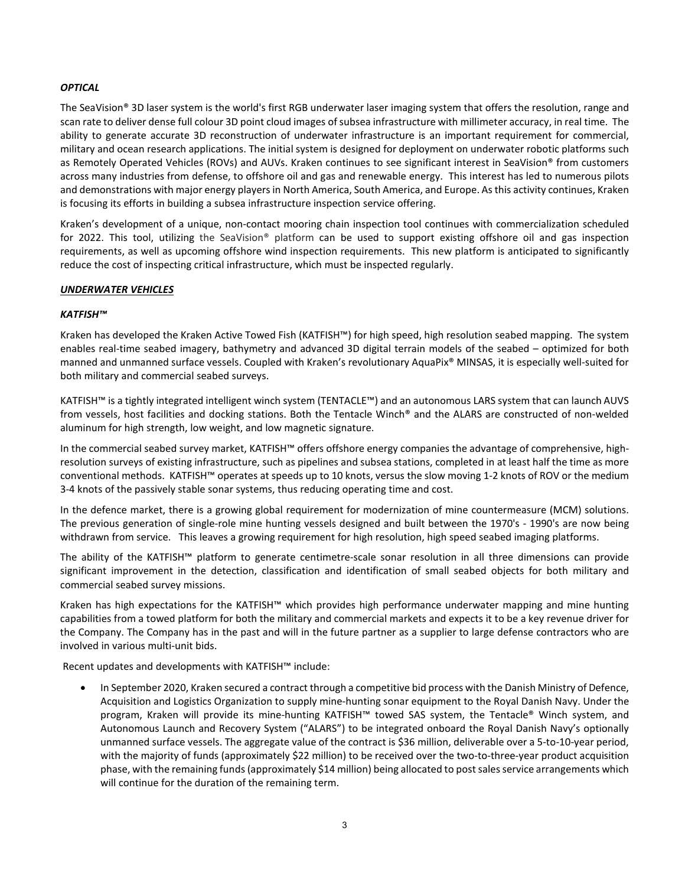## *OPTICAL*

The SeaVision® 3D laser system is the world's first RGB underwater laser imaging system that offers the resolution, range and scan rate to deliver dense full colour 3D point cloud images of subsea infrastructure with millimeter accuracy, in real time. The ability to generate accurate 3D reconstruction of underwater infrastructure is an important requirement for commercial, military and ocean research applications. The initial system is designed for deployment on underwater robotic platforms such as Remotely Operated Vehicles (ROVs) and AUVs. Kraken continues to see significant interest in SeaVision® from customers across many industries from defense, to offshore oil and gas and renewable energy. This interest has led to numerous pilots and demonstrations with major energy players in North America, South America, and Europe. As this activity continues, Kraken is focusing its efforts in building a subsea infrastructure inspection service offering.

Kraken's development of a unique, non-contact mooring chain inspection tool continues with commercialization scheduled for 2022. This tool, utilizing the SeaVision® platform can be used to support existing offshore oil and gas inspection requirements, as well as upcoming offshore wind inspection requirements. This new platform is anticipated to significantly reduce the cost of inspecting critical infrastructure, which must be inspected regularly.

## *UNDERWATER VEHICLES*

## *KATFISH™*

Kraken has developed the Kraken Active Towed Fish (KATFISH™) for high speed, high resolution seabed mapping. The system enables real-time seabed imagery, bathymetry and advanced 3D digital terrain models of the seabed – optimized for both manned and unmanned surface vessels. Coupled with Kraken's revolutionary AquaPix® MINSAS, it is especially well-suited for both military and commercial seabed surveys.

KATFISH™ is a tightly integrated intelligent winch system (TENTACLE™) and an autonomous LARS system that can launch AUVS from vessels, host facilities and docking stations. Both the Tentacle Winch® and the ALARS are constructed of non-welded aluminum for high strength, low weight, and low magnetic signature.

In the commercial seabed survey market, KATFISH™ offers offshore energy companies the advantage of comprehensive, highresolution surveys of existing infrastructure, such as pipelines and subsea stations, completed in at least half the time as more conventional methods. KATFISH™ operates at speeds up to 10 knots, versus the slow moving 1-2 knots of ROV or the medium 3-4 knots of the passively stable sonar systems, thus reducing operating time and cost.

In the defence market, there is a growing global requirement for modernization of mine countermeasure (MCM) solutions. The previous generation of single-role mine hunting vessels designed and built between the 1970's - 1990's are now being withdrawn from service. This leaves a growing requirement for high resolution, high speed seabed imaging platforms.

The ability of the KATFISH™ platform to generate centimetre-scale sonar resolution in all three dimensions can provide significant improvement in the detection, classification and identification of small seabed objects for both military and commercial seabed survey missions.

Kraken has high expectations for the KATFISH™ which provides high performance underwater mapping and mine hunting capabilities from a towed platform for both the military and commercial markets and expects it to be a key revenue driver for the Company. The Company has in the past and will in the future partner as a supplier to large defense contractors who are involved in various multi-unit bids.

Recent updates and developments with KATFISH™ include:

• In September 2020, Kraken secured a contract through a competitive bid process with the Danish Ministry of Defence, Acquisition and Logistics Organization to supply mine-hunting sonar equipment to the Royal Danish Navy. Under the program, Kraken will provide its mine-hunting KATFISH™ towed SAS system, the Tentacle® Winch system, and Autonomous Launch and Recovery System ("ALARS") to be integrated onboard the Royal Danish Navy's optionally unmanned surface vessels. The aggregate value of the contract is \$36 million, deliverable over a 5-to-10-year period, with the majority of funds (approximately \$22 million) to be received over the two-to-three-year product acquisition phase, with the remaining funds (approximately \$14 million) being allocated to post sales service arrangements which will continue for the duration of the remaining term.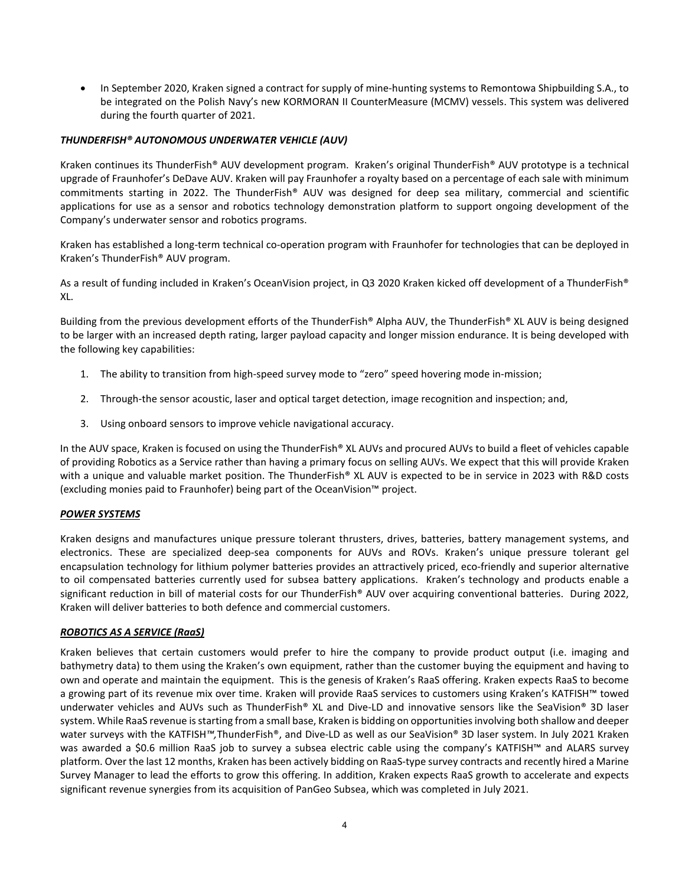• In September 2020, Kraken signed a contract for supply of mine-hunting systems to Remontowa Shipbuilding S.A., to be integrated on the Polish Navy's new KORMORAN II CounterMeasure (MCMV) vessels. This system was delivered during the fourth quarter of 2021.

# *THUNDERFISH® AUTONOMOUS UNDERWATER VEHICLE (AUV)*

Kraken continues its ThunderFish® AUV development program. Kraken's original ThunderFish® AUV prototype is a technical upgrade of Fraunhofer's DeDave AUV. Kraken will pay Fraunhofer a royalty based on a percentage of each sale with minimum commitments starting in 2022. The ThunderFish® AUV was designed for deep sea military, commercial and scientific applications for use as a sensor and robotics technology demonstration platform to support ongoing development of the Company's underwater sensor and robotics programs.

Kraken has established a long-term technical co-operation program with Fraunhofer for technologies that can be deployed in Kraken's ThunderFish® AUV program.

As a result of funding included in Kraken's OceanVision project, in Q3 2020 Kraken kicked off development of a ThunderFish® XL.

Building from the previous development efforts of the ThunderFish® Alpha AUV, the ThunderFish® XL AUV is being designed to be larger with an increased depth rating, larger payload capacity and longer mission endurance. It is being developed with the following key capabilities:

- 1. The ability to transition from high-speed survey mode to "zero" speed hovering mode in-mission;
- 2. Through-the sensor acoustic, laser and optical target detection, image recognition and inspection; and,
- 3. Using onboard sensors to improve vehicle navigational accuracy.

In the AUV space, Kraken is focused on using the ThunderFish® XL AUVs and procured AUVs to build a fleet of vehicles capable of providing Robotics as a Service rather than having a primary focus on selling AUVs. We expect that this will provide Kraken with a unique and valuable market position. The ThunderFish® XL AUV is expected to be in service in 2023 with R&D costs (excluding monies paid to Fraunhofer) being part of the OceanVision™ project.

### *POWER SYSTEMS*

Kraken designs and manufactures unique pressure tolerant thrusters, drives, batteries, battery management systems, and electronics. These are specialized deep-sea components for AUVs and ROVs. Kraken's unique pressure tolerant gel encapsulation technology for lithium polymer batteries provides an attractively priced, eco-friendly and superior alternative to oil compensated batteries currently used for subsea battery applications. Kraken's technology and products enable a significant reduction in bill of material costs for our ThunderFish® AUV over acquiring conventional batteries. During 2022, Kraken will deliver batteries to both defence and commercial customers.

### *ROBOTICS AS A SERVICE (RaaS)*

Kraken believes that certain customers would prefer to hire the company to provide product output (i.e. imaging and bathymetry data) to them using the Kraken's own equipment, rather than the customer buying the equipment and having to own and operate and maintain the equipment. This is the genesis of Kraken's RaaS offering. Kraken expects RaaS to become a growing part of its revenue mix over time. Kraken will provide RaaS services to customers using Kraken's KATFISH™ towed underwater vehicles and AUVs such as ThunderFish® XL and Dive-LD and innovative sensors like the SeaVision® 3D laser system. While RaaS revenue is starting from a small base, Kraken is bidding on opportunities involving both shallow and deeper water surveys with the KATFISH*™,*ThunderFish®, and Dive-LD as well as our SeaVision® 3D laser system. In July 2021 Kraken was awarded a \$0.6 million RaaS job to survey a subsea electric cable using the company's KATFISH™ and ALARS survey platform. Over the last 12 months, Kraken has been actively bidding on RaaS-type survey contracts and recently hired a Marine Survey Manager to lead the efforts to grow this offering. In addition, Kraken expects RaaS growth to accelerate and expects significant revenue synergies from its acquisition of PanGeo Subsea, which was completed in July 2021.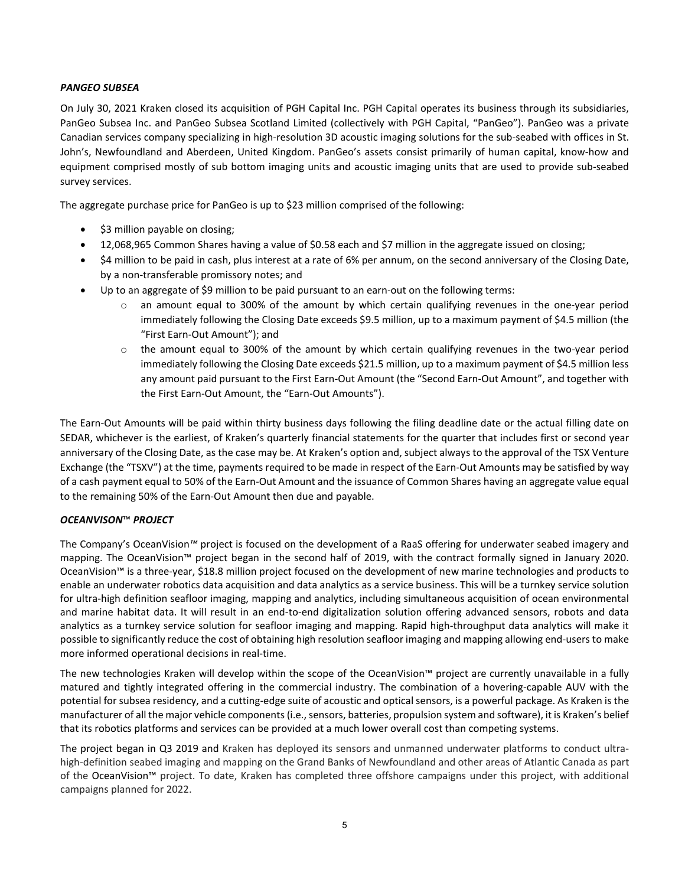# *PANGEO SUBSEA*

On July 30, 2021 Kraken closed its acquisition of PGH Capital Inc. PGH Capital operates its business through its subsidiaries, PanGeo Subsea Inc. and PanGeo Subsea Scotland Limited (collectively with PGH Capital, "PanGeo"). PanGeo was a private Canadian services company specializing in high-resolution 3D acoustic imaging solutions for the sub-seabed with offices in St. John's, Newfoundland and Aberdeen, United Kingdom. PanGeo's assets consist primarily of human capital, know-how and equipment comprised mostly of sub bottom imaging units and acoustic imaging units that are used to provide sub-seabed survey services.

The aggregate purchase price for PanGeo is up to \$23 million comprised of the following:

- \$3 million payable on closing;
- 12,068,965 Common Shares having a value of \$0.58 each and \$7 million in the aggregate issued on closing;
- \$4 million to be paid in cash, plus interest at a rate of 6% per annum, on the second anniversary of the Closing Date, by a non-transferable promissory notes; and
- Up to an aggregate of \$9 million to be paid pursuant to an earn-out on the following terms:
	- o an amount equal to 300% of the amount by which certain qualifying revenues in the one-year period immediately following the Closing Date exceeds \$9.5 million, up to a maximum payment of \$4.5 million (the "First Earn-Out Amount"); and
	- o the amount equal to 300% of the amount by which certain qualifying revenues in the two-year period immediately following the Closing Date exceeds \$21.5 million, up to a maximum payment of \$4.5 million less any amount paid pursuant to the First Earn-Out Amount (the "Second Earn-Out Amount", and together with the First Earn-Out Amount, the "Earn-Out Amounts").

The Earn-Out Amounts will be paid within thirty business days following the filing deadline date or the actual filling date on SEDAR, whichever is the earliest, of Kraken's quarterly financial statements for the quarter that includes first or second year anniversary of the Closing Date, as the case may be. At Kraken's option and, subject always to the approval of the TSX Venture Exchange (the "TSXV") at the time, payments required to be made in respect of the Earn-Out Amounts may be satisfied by way of a cash payment equal to 50% of the Earn-Out Amount and the issuance of Common Shares having an aggregate value equal to the remaining 50% of the Earn-Out Amount then due and payable.

# *OCEANVISON*™ *PROJECT*

The Company's OceanVision*™* project is focused on the development of a RaaS offering for underwater seabed imagery and mapping. The OceanVision™ project began in the second half of 2019, with the contract formally signed in January 2020. OceanVision™ is a three-year, \$18.8 million project focused on the development of new marine technologies and products to enable an underwater robotics data acquisition and data analytics as a service business. This will be a turnkey service solution for ultra-high definition seafloor imaging, mapping and analytics, including simultaneous acquisition of ocean environmental and marine habitat data. It will result in an end-to-end digitalization solution offering advanced sensors, robots and data analytics as a turnkey service solution for seafloor imaging and mapping. Rapid high-throughput data analytics will make it possible to significantly reduce the cost of obtaining high resolution seafloor imaging and mapping allowing end-users to make more informed operational decisions in real-time.

The new technologies Kraken will develop within the scope of the OceanVision™ project are currently unavailable in a fully matured and tightly integrated offering in the commercial industry. The combination of a hovering-capable AUV with the potential for subsea residency, and a cutting-edge suite of acoustic and optical sensors, is a powerful package. As Kraken is the manufacturer of all the major vehicle components (i.e., sensors, batteries, propulsion system and software), it is Kraken's belief that its robotics platforms and services can be provided at a much lower overall cost than competing systems.

The project began in Q3 2019 and Kraken has deployed its sensors and unmanned underwater platforms to conduct ultrahigh-definition seabed imaging and mapping on the Grand Banks of Newfoundland and other areas of Atlantic Canada as part of the OceanVision™ project. To date, Kraken has completed three offshore campaigns under this project, with additional campaigns planned for 2022.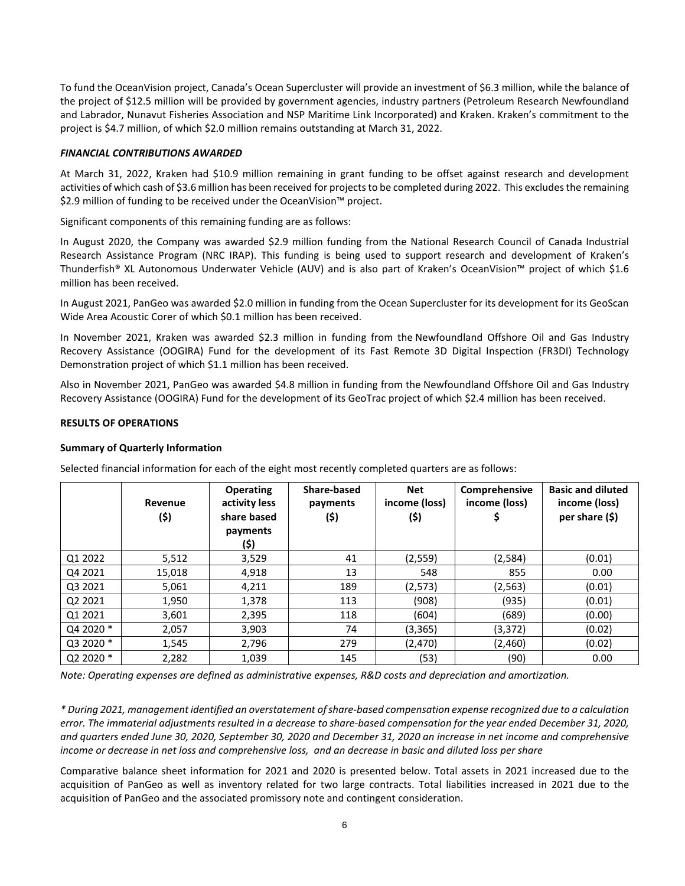To fund the OceanVision project, Canada's Ocean Supercluster will provide an investment of \$6.3 million, while the balance of the project of \$12.5 million will be provided by government agencies, industry partners (Petroleum Research Newfoundland and Labrador, Nunavut Fisheries Association and NSP Maritime Link Incorporated) and Kraken. Kraken's commitment to the project is \$4.7 million, of which \$2.0 million remains outstanding at March 31, 2022.

## *FINANCIAL CONTRIBUTIONS AWARDED*

At March 31, 2022, Kraken had \$10.9 million remaining in grant funding to be offset against research and development activities of which cash of \$3.6 million has been received for projects to be completed during 2022. This excludes the remaining \$2.9 million of funding to be received under the OceanVision<sup>™</sup> project.

Significant components of this remaining funding are as follows:

In August 2020, the Company was awarded \$2.9 million funding from the National Research Council of Canada Industrial Research Assistance Program (NRC IRAP). This funding is being used to support research and development of Kraken's Thunderfish® XL Autonomous Underwater Vehicle (AUV) and is also part of Kraken's OceanVision™ project of which \$1.6 million has been received.

In August 2021, PanGeo was awarded \$2.0 million in funding from the Ocean Supercluster for its development for its GeoScan Wide Area Acoustic Corer of which \$0.1 million has been received.

In November 2021, Kraken was awarded \$2.3 million in funding from the Newfoundland Offshore Oil and Gas Industry Recovery Assistance (OOGIRA) Fund for the development of its Fast Remote 3D Digital Inspection (FR3DI) Technology Demonstration project of which \$1.1 million has been received.

Also in November 2021, PanGeo was awarded \$4.8 million in funding from the Newfoundland Offshore Oil and Gas Industry Recovery Assistance (OOGIRA) Fund for the development of its GeoTrac project of which \$2.4 million has been received.

### **RESULTS OF OPERATIONS**

### **Summary of Quarterly Information**

|           | Revenue<br>(\$) | Operating<br>activity less<br>share based<br>payments<br>(\$) | Share-based<br>payments<br>(\$) | <b>Net</b><br>income (loss)<br>(\$) | Comprehensive<br>income (loss) | <b>Basic and diluted</b><br>income (loss)<br>per share $(5)$ |
|-----------|-----------------|---------------------------------------------------------------|---------------------------------|-------------------------------------|--------------------------------|--------------------------------------------------------------|
| Q1 2022   | 5,512           | 3,529                                                         | 41                              | (2, 559)                            | (2,584)                        | (0.01)                                                       |
| Q4 2021   | 15,018          | 4,918                                                         | 13                              | 548                                 | 855                            | 0.00                                                         |
| Q3 2021   | 5,061           | 4,211                                                         | 189                             | (2,573)                             | (2, 563)                       | (0.01)                                                       |
| Q2 2021   | 1,950           | 1,378                                                         | 113                             | (908)                               | (935)                          | (0.01)                                                       |
| Q1 2021   | 3,601           | 2,395                                                         | 118                             | (604)                               | (689)                          | (0.00)                                                       |
| Q4 2020 * | 2,057           | 3,903                                                         | 74                              | (3,365)                             | (3, 372)                       | (0.02)                                                       |
| Q3 2020 * | 1,545           | 2,796                                                         | 279                             | (2, 470)                            | (2,460)                        | (0.02)                                                       |
| Q2 2020 * | 2,282           | 1,039                                                         | 145                             | (53)                                | (90)                           | 0.00                                                         |

Selected financial information for each of the eight most recently completed quarters are as follows:

*Note: Operating expenses are defined as administrative expenses, R&D costs and depreciation and amortization.*

*\* During 2021, management identified an overstatement of share-based compensation expense recognized due to a calculation error. The immaterial adjustments resulted in a decrease to share-based compensation for the year ended December 31, 2020, and quarters ended June 30, 2020, September 30, 2020 and December 31, 2020 an increase in net income and comprehensive income or decrease in net loss and comprehensive loss, and an decrease in basic and diluted loss per share*

Comparative balance sheet information for 2021 and 2020 is presented below. Total assets in 2021 increased due to the acquisition of PanGeo as well as inventory related for two large contracts. Total liabilities increased in 2021 due to the acquisition of PanGeo and the associated promissory note and contingent consideration.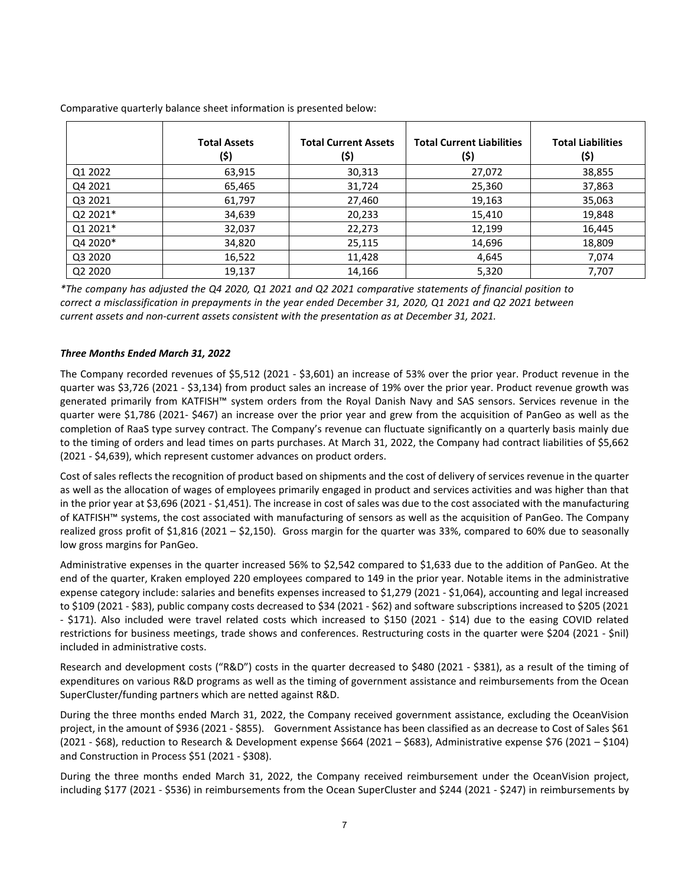|                                 | <b>Total Assets</b><br>(\$) | <b>Total Current Assets</b><br>(\$) | <b>Total Current Liabilities</b><br>(\$) | <b>Total Liabilities</b><br>(\$) |
|---------------------------------|-----------------------------|-------------------------------------|------------------------------------------|----------------------------------|
| Q1 2022                         | 63,915                      | 30,313                              | 27,072                                   | 38,855                           |
| Q4 2021                         | 65,465                      | 31,724                              | 25,360                                   | 37,863                           |
| Q3 2021                         | 61,797                      | 27,460                              | 19,163                                   | 35,063                           |
| Q2 2021*                        | 34,639                      | 20,233                              | 15,410                                   | 19,848                           |
| Q1 2021*                        | 32,037                      | 22,273                              | 12,199                                   | 16,445                           |
| Q4 2020*                        | 34,820                      | 25,115                              | 14,696                                   | 18,809                           |
| Q3 2020                         | 16,522                      | 11,428                              | 4,645                                    | 7,074                            |
| Q <sub>2</sub> 20 <sub>20</sub> | 19,137                      | 14,166                              | 5,320                                    | 7,707                            |

Comparative quarterly balance sheet information is presented below:

*\*The company has adjusted the Q4 2020, Q1 2021 and Q2 2021 comparative statements of financial position to correct a misclassification in prepayments in the year ended December 31, 2020, Q1 2021 and Q2 2021 between current assets and non-current assets consistent with the presentation as at December 31, 2021.* 

## *Three Months Ended March 31, 2022*

The Company recorded revenues of \$5,512 (2021 - \$3,601) an increase of 53% over the prior year. Product revenue in the quarter was \$3,726 (2021 - \$3,134) from product sales an increase of 19% over the prior year. Product revenue growth was generated primarily from KATFISH™ system orders from the Royal Danish Navy and SAS sensors. Services revenue in the quarter were \$1,786 (2021- \$467) an increase over the prior year and grew from the acquisition of PanGeo as well as the completion of RaaS type survey contract. The Company's revenue can fluctuate significantly on a quarterly basis mainly due to the timing of orders and lead times on parts purchases. At March 31, 2022, the Company had contract liabilities of \$5,662 (2021 - \$4,639), which represent customer advances on product orders.

Cost of sales reflects the recognition of product based on shipments and the cost of delivery of services revenue in the quarter as well as the allocation of wages of employees primarily engaged in product and services activities and was higher than that in the prior year at \$3,696 (2021 - \$1,451). The increase in cost of sales was due to the cost associated with the manufacturing of KATFISH™ systems, the cost associated with manufacturing of sensors as well as the acquisition of PanGeo. The Company realized gross profit of \$1,816 (2021 – \$2,150). Gross margin for the quarter was 33%, compared to 60% due to seasonally low gross margins for PanGeo.

Administrative expenses in the quarter increased 56% to \$2,542 compared to \$1,633 due to the addition of PanGeo. At the end of the quarter, Kraken employed 220 employees compared to 149 in the prior year. Notable items in the administrative expense category include: salaries and benefits expenses increased to \$1,279 (2021 - \$1,064), accounting and legal increased to \$109 (2021 - \$83), public company costs decreased to \$34 (2021 - \$62) and software subscriptions increased to \$205 (2021 - \$171). Also included were travel related costs which increased to \$150 (2021 - \$14) due to the easing COVID related restrictions for business meetings, trade shows and conferences. Restructuring costs in the quarter were \$204 (2021 - \$nil) included in administrative costs.

Research and development costs ("R&D") costs in the quarter decreased to \$480 (2021 - \$381), as a result of the timing of expenditures on various R&D programs as well as the timing of government assistance and reimbursements from the Ocean SuperCluster/funding partners which are netted against R&D.

During the three months ended March 31, 2022, the Company received government assistance, excluding the OceanVision project, in the amount of \$936 (2021 - \$855). Government Assistance has been classified as an decrease to Cost of Sales \$61 (2021 - \$68), reduction to Research & Development expense \$664 (2021 – \$683), Administrative expense \$76 (2021 – \$104) and Construction in Process \$51 (2021 - \$308).

During the three months ended March 31, 2022, the Company received reimbursement under the OceanVision project, including \$177 (2021 - \$536) in reimbursements from the Ocean SuperCluster and \$244 (2021 - \$247) in reimbursements by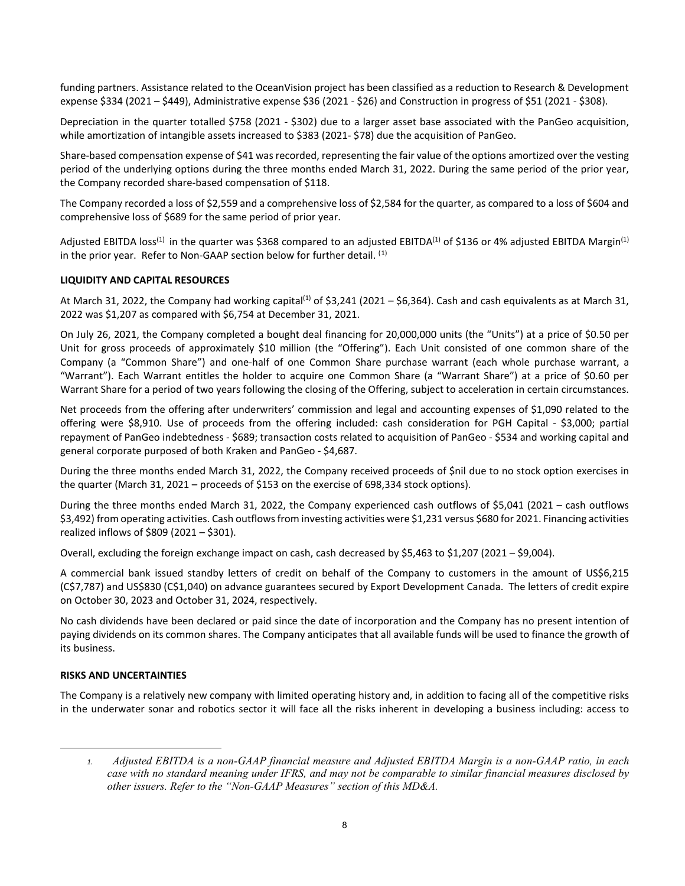funding partners. Assistance related to the OceanVision project has been classified as a reduction to Research & Development expense \$334 (2021 – \$449), Administrative expense \$36 (2021 - \$26) and Construction in progress of \$51 (2021 - \$308).

Depreciation in the quarter totalled \$758 (2021 - \$302) due to a larger asset base associated with the PanGeo acquisition, while amortization of intangible assets increased to \$383 (2021- \$78) due the acquisition of PanGeo.

Share-based compensation expense of \$41 was recorded, representing the fair value of the options amortized over the vesting period of the underlying options during the three months ended March 31, 2022. During the same period of the prior year, the Company recorded share-based compensation of \$118.

The Company recorded a loss of \$2,559 and a comprehensive loss of \$2,584 for the quarter, as compared to a loss of \$604 and comprehensive loss of \$689 for the same period of prior year.

Adjusted EBITDA loss<sup>(1)</sup> in the quarter was \$368 compared to an adjusted EBITDA<sup>(1)</sup> of \$136 or 4% adjusted EBITDA Margin<sup>(1)</sup> in the prior year. Refer to Non-GAAP section below for further detail.  $^{(1)}$  $^{(1)}$  $^{(1)}$ 

# **LIQUIDITY AND CAPITAL RESOURCES**

At March 31, 2022, the Company had working capital<sup>(1)</sup> of \$3,241 (2021 – \$6,364). Cash and cash equivalents as at March 31, 2022 was \$1,207 as compared with \$6,754 at December 31, 2021.

On July 26, 2021, the Company completed a bought deal financing for 20,000,000 units (the "Units") at a price of \$0.50 per Unit for gross proceeds of approximately \$10 million (the "Offering"). Each Unit consisted of one common share of the Company (a "Common Share") and one-half of one Common Share purchase warrant (each whole purchase warrant, a "Warrant"). Each Warrant entitles the holder to acquire one Common Share (a "Warrant Share") at a price of \$0.60 per Warrant Share for a period of two years following the closing of the Offering, subject to acceleration in certain circumstances.

Net proceeds from the offering after underwriters' commission and legal and accounting expenses of \$1,090 related to the offering were \$8,910. Use of proceeds from the offering included: cash consideration for PGH Capital - \$3,000; partial repayment of PanGeo indebtedness - \$689; transaction costs related to acquisition of PanGeo - \$534 and working capital and general corporate purposed of both Kraken and PanGeo - \$4,687.

During the three months ended March 31, 2022, the Company received proceeds of \$nil due to no stock option exercises in the quarter (March 31, 2021 – proceeds of \$153 on the exercise of 698,334 stock options).

During the three months ended March 31, 2022, the Company experienced cash outflows of \$5,041 (2021 – cash outflows \$3,492) from operating activities. Cash outflows from investing activities were \$1,231 versus \$680 for 2021. Financing activities realized inflows of \$809 (2021 – \$301).

Overall, excluding the foreign exchange impact on cash, cash decreased by \$5,463 to \$1,207 (2021 – \$9,004).

A commercial bank issued standby letters of credit on behalf of the Company to customers in the amount of US\$6,215 (C\$7,787) and US\$830 (C\$1,040) on advance guarantees secured by Export Development Canada. The letters of credit expire on October 30, 2023 and October 31, 2024, respectively.

No cash dividends have been declared or paid since the date of incorporation and the Company has no present intention of paying dividends on its common shares. The Company anticipates that all available funds will be used to finance the growth of its business.

### **RISKS AND UNCERTAINTIES**

The Company is a relatively new company with limited operating history and, in addition to facing all of the competitive risks in the underwater sonar and robotics sector it will face all the risks inherent in developing a business including: access to

<span id="page-7-0"></span>*<sup>1.</sup> Adjusted EBITDA is a non-GAAP financial measure and Adjusted EBITDA Margin is a non-GAAP ratio, in each case with no standard meaning under IFRS, and may not be comparable to similar financial measures disclosed by other issuers. Refer to the "Non-GAAP Measures" section of this MD&A.*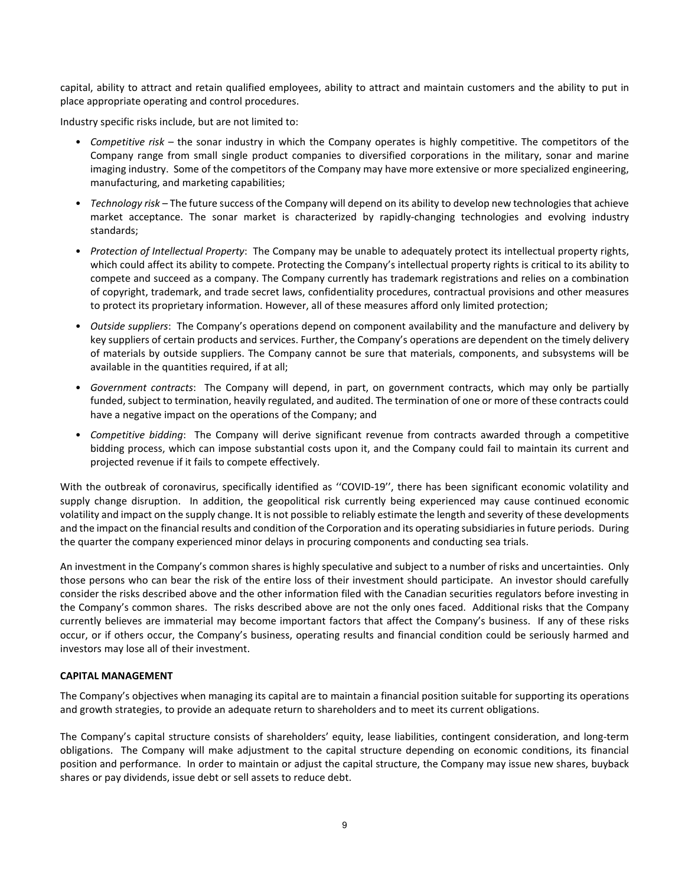capital, ability to attract and retain qualified employees, ability to attract and maintain customers and the ability to put in place appropriate operating and control procedures.

Industry specific risks include, but are not limited to:

- *Competitive risk* the sonar industry in which the Company operates is highly competitive. The competitors of the Company range from small single product companies to diversified corporations in the military, sonar and marine imaging industry. Some of the competitors of the Company may have more extensive or more specialized engineering, manufacturing, and marketing capabilities;
- *Technology risk* The future success of the Company will depend on its ability to develop new technologies that achieve market acceptance. The sonar market is characterized by rapidly-changing technologies and evolving industry standards;
- *Protection of Intellectual Property*: The Company may be unable to adequately protect its intellectual property rights, which could affect its ability to compete. Protecting the Company's intellectual property rights is critical to its ability to compete and succeed as a company. The Company currently has trademark registrations and relies on a combination of copyright, trademark, and trade secret laws, confidentiality procedures, contractual provisions and other measures to protect its proprietary information. However, all of these measures afford only limited protection;
- *Outside suppliers*: The Company's operations depend on component availability and the manufacture and delivery by key suppliers of certain products and services. Further, the Company's operations are dependent on the timely delivery of materials by outside suppliers. The Company cannot be sure that materials, components, and subsystems will be available in the quantities required, if at all;
- *Government contracts*: The Company will depend, in part, on government contracts, which may only be partially funded, subject to termination, heavily regulated, and audited. The termination of one or more of these contracts could have a negative impact on the operations of the Company; and
- *Competitive bidding*: The Company will derive significant revenue from contracts awarded through a competitive bidding process, which can impose substantial costs upon it, and the Company could fail to maintain its current and projected revenue if it fails to compete effectively.

With the outbreak of coronavirus, specifically identified as ''COVID-19'', there has been significant economic volatility and supply change disruption. In addition, the geopolitical risk currently being experienced may cause continued economic volatility and impact on the supply change. It is not possible to reliably estimate the length and severity of these developments and the impact on the financial results and condition of the Corporation and its operating subsidiaries in future periods. During the quarter the company experienced minor delays in procuring components and conducting sea trials.

An investment in the Company's common shares is highly speculative and subject to a number of risks and uncertainties. Only those persons who can bear the risk of the entire loss of their investment should participate. An investor should carefully consider the risks described above and the other information filed with the Canadian securities regulators before investing in the Company's common shares. The risks described above are not the only ones faced. Additional risks that the Company currently believes are immaterial may become important factors that affect the Company's business. If any of these risks occur, or if others occur, the Company's business, operating results and financial condition could be seriously harmed and investors may lose all of their investment.

# **CAPITAL MANAGEMENT**

The Company's objectives when managing its capital are to maintain a financial position suitable for supporting its operations and growth strategies, to provide an adequate return to shareholders and to meet its current obligations.

The Company's capital structure consists of shareholders' equity, lease liabilities, contingent consideration, and long-term obligations. The Company will make adjustment to the capital structure depending on economic conditions, its financial position and performance. In order to maintain or adjust the capital structure, the Company may issue new shares, buyback shares or pay dividends, issue debt or sell assets to reduce debt.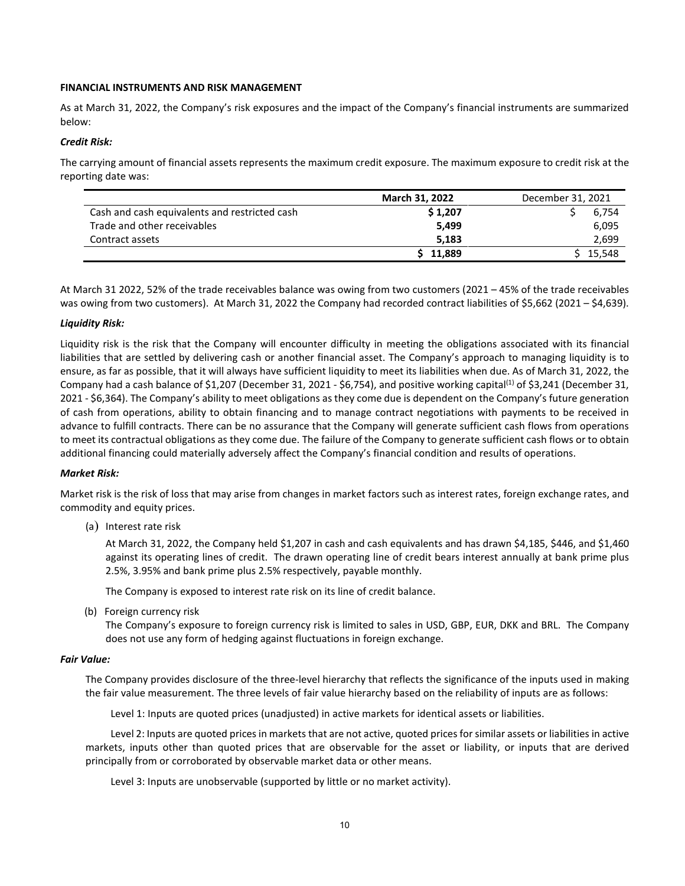#### **FINANCIAL INSTRUMENTS AND RISK MANAGEMENT**

As at March 31, 2022, the Company's risk exposures and the impact of the Company's financial instruments are summarized below:

#### *Credit Risk:*

The carrying amount of financial assets represents the maximum credit exposure. The maximum exposure to credit risk at the reporting date was:

|                                               | March 31, 2022 | December 31, 2021 |
|-----------------------------------------------|----------------|-------------------|
| Cash and cash equivalents and restricted cash | \$1,207        | 6.754             |
| Trade and other receivables                   | 5.499          | 6,095             |
| Contract assets                               | 5.183          | 2,699             |
|                                               | 11.889         | 15,548            |

At March 31 2022, 52% of the trade receivables balance was owing from two customers (2021 – 45% of the trade receivables was owing from two customers). At March 31, 2022 the Company had recorded contract liabilities of \$5,662 (2021 – \$4,639).

#### *Liquidity Risk:*

Liquidity risk is the risk that the Company will encounter difficulty in meeting the obligations associated with its financial liabilities that are settled by delivering cash or another financial asset. The Company's approach to managing liquidity is to ensure, as far as possible, that it will always have sufficient liquidity to meet its liabilities when due. As of March 31, 2022, the Company had a cash balance of \$1,207 (December 31, 2021 - \$6,754), and positive working capital<sup>(1)</sup> of \$3,241 (December 31, 2021 - \$6,364). The Company's ability to meet obligations as they come due is dependent on the Company's future generation of cash from operations, ability to obtain financing and to manage contract negotiations with payments to be received in advance to fulfill contracts. There can be no assurance that the Company will generate sufficient cash flows from operations to meet its contractual obligations as they come due. The failure of the Company to generate sufficient cash flows or to obtain additional financing could materially adversely affect the Company's financial condition and results of operations.

### *Market Risk:*

Market risk is the risk of loss that may arise from changes in market factors such as interest rates, foreign exchange rates, and commodity and equity prices.

(a) Interest rate risk

At March 31, 2022, the Company held \$1,207 in cash and cash equivalents and has drawn \$4,185, \$446, and \$1,460 against its operating lines of credit. The drawn operating line of credit bears interest annually at bank prime plus 2.5%, 3.95% and bank prime plus 2.5% respectively, payable monthly.

The Company is exposed to interest rate risk on its line of credit balance.

(b) Foreign currency risk

The Company's exposure to foreign currency risk is limited to sales in USD, GBP, EUR, DKK and BRL. The Company does not use any form of hedging against fluctuations in foreign exchange.

#### *Fair Value:*

The Company provides disclosure of the three-level hierarchy that reflects the significance of the inputs used in making the fair value measurement. The three levels of fair value hierarchy based on the reliability of inputs are as follows:

Level 1: Inputs are quoted prices (unadjusted) in active markets for identical assets or liabilities.

Level 2: Inputs are quoted prices in markets that are not active, quoted prices for similar assets or liabilities in active markets, inputs other than quoted prices that are observable for the asset or liability, or inputs that are derived principally from or corroborated by observable market data or other means.

Level 3: Inputs are unobservable (supported by little or no market activity).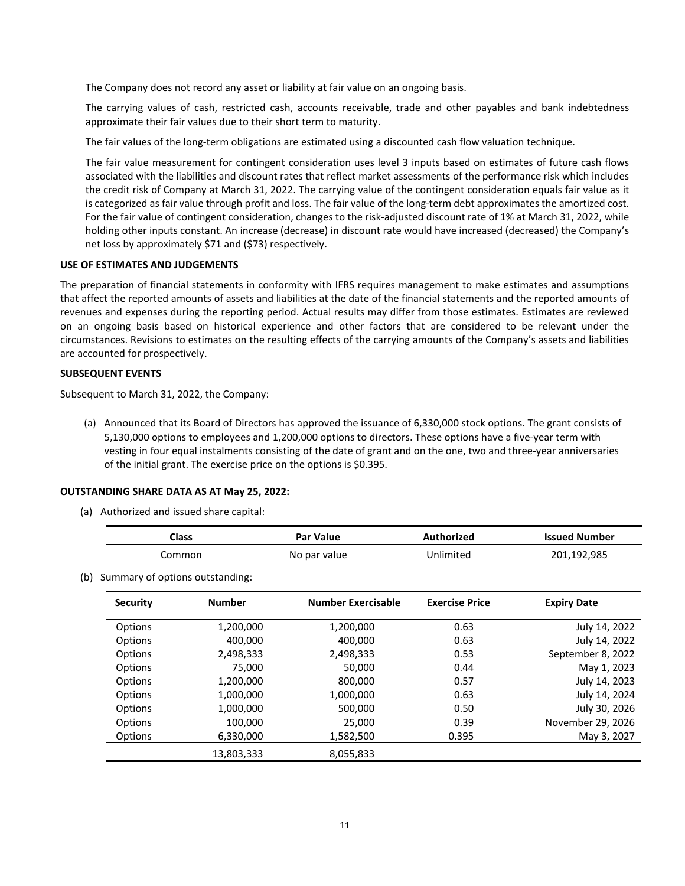The Company does not record any asset or liability at fair value on an ongoing basis.

The carrying values of cash, restricted cash, accounts receivable, trade and other payables and bank indebtedness approximate their fair values due to their short term to maturity.

The fair values of the long-term obligations are estimated using a discounted cash flow valuation technique.

The fair value measurement for contingent consideration uses level 3 inputs based on estimates of future cash flows associated with the liabilities and discount rates that reflect market assessments of the performance risk which includes the credit risk of Company at March 31, 2022. The carrying value of the contingent consideration equals fair value as it is categorized as fair value through profit and loss. The fair value of the long-term debt approximates the amortized cost. For the fair value of contingent consideration, changes to the risk-adjusted discount rate of 1% at March 31, 2022, while holding other inputs constant. An increase (decrease) in discount rate would have increased (decreased) the Company's net loss by approximately \$71 and (\$73) respectively.

## **USE OF ESTIMATES AND JUDGEMENTS**

The preparation of financial statements in conformity with IFRS requires management to make estimates and assumptions that affect the reported amounts of assets and liabilities at the date of the financial statements and the reported amounts of revenues and expenses during the reporting period. Actual results may differ from those estimates. Estimates are reviewed on an ongoing basis based on historical experience and other factors that are considered to be relevant under the circumstances. Revisions to estimates on the resulting effects of the carrying amounts of the Company's assets and liabilities are accounted for prospectively.

## **SUBSEQUENT EVENTS**

Subsequent to March 31, 2022, the Company:

(a) Announced that its Board of Directors has approved the issuance of 6,330,000 stock options. The grant consists of 5,130,000 options to employees and 1,200,000 options to directors. These options have a five-year term with vesting in four equal instalments consisting of the date of grant and on the one, two and three-year anniversaries of the initial grant. The exercise price on the options is \$0.395.

### **OUTSTANDING SHARE DATA AS AT May 25, 2022:**

(a) Authorized and issued share capital:

| Class  | Par Value    | Authorized | <b>Issued Number</b> |
|--------|--------------|------------|----------------------|
| Common | No par value | Unlimited  | 201,192,985          |

(b) Summary of options outstanding:

| <b>Security</b> | <b>Number</b> | <b>Number Exercisable</b> | <b>Exercise Price</b> | <b>Expiry Date</b> |
|-----------------|---------------|---------------------------|-----------------------|--------------------|
| Options         | 1,200,000     | 1,200,000                 | 0.63                  | July 14, 2022      |
| Options         | 400,000       | 400,000                   | 0.63                  | July 14, 2022      |
| Options         | 2,498,333     | 2,498,333                 | 0.53                  | September 8, 2022  |
| Options         | 75,000        | 50,000                    | 0.44                  | May 1, 2023        |
| Options         | 1,200,000     | 800,000                   | 0.57                  | July 14, 2023      |
| Options         | 1,000,000     | 1,000,000                 | 0.63                  | July 14, 2024      |
| Options         | 1,000,000     | 500,000                   | 0.50                  | July 30, 2026      |
| Options         | 100,000       | 25,000                    | 0.39                  | November 29, 2026  |
| Options         | 6,330,000     | 1,582,500                 | 0.395                 | May 3, 2027        |
|                 | 13,803,333    | 8,055,833                 |                       |                    |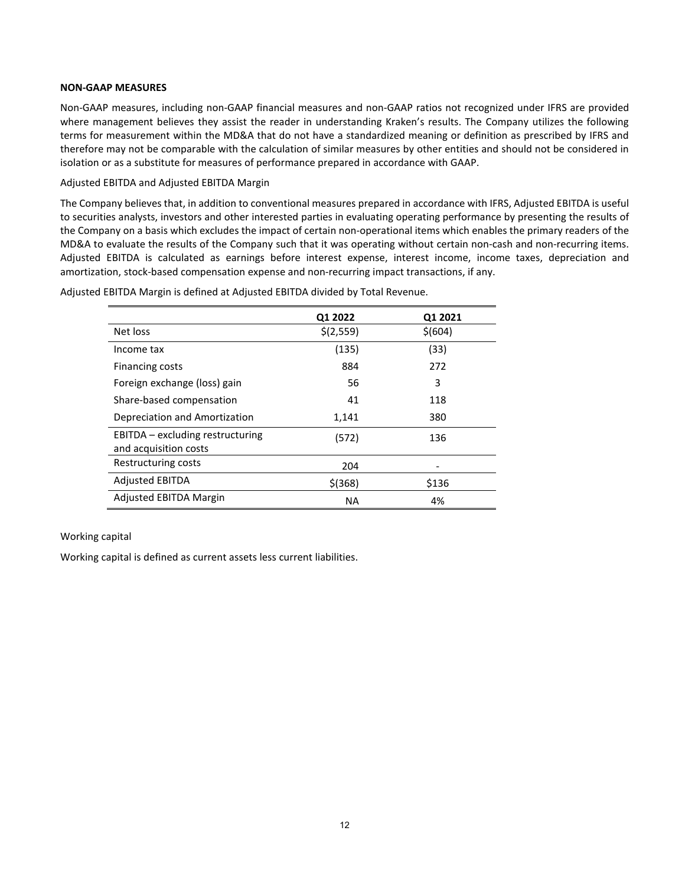#### **NON-GAAP MEASURES**

Non-GAAP measures, including non-GAAP financial measures and non-GAAP ratios not recognized under IFRS are provided where management believes they assist the reader in understanding Kraken's results. The Company utilizes the following terms for measurement within the MD&A that do not have a standardized meaning or definition as prescribed by IFRS and therefore may not be comparable with the calculation of similar measures by other entities and should not be considered in isolation or as a substitute for measures of performance prepared in accordance with GAAP.

#### Adjusted EBITDA and Adjusted EBITDA Margin

The Company believes that, in addition to conventional measures prepared in accordance with IFRS, Adjusted EBITDA is useful to securities analysts, investors and other interested parties in evaluating operating performance by presenting the results of the Company on a basis which excludes the impact of certain non-operational items which enables the primary readers of the MD&A to evaluate the results of the Company such that it was operating without certain non-cash and non-recurring items. Adjusted EBITDA is calculated as earnings before interest expense, interest income, income taxes, depreciation and amortization, stock-based compensation expense and non-recurring impact transactions, if any.

|                                                           | Q1 2022   | Q1 2021 |
|-----------------------------------------------------------|-----------|---------|
| Net loss                                                  | \$(2,559) | \$(604) |
| Income tax                                                | (135)     | (33)    |
| Financing costs                                           | 884       | 272     |
| Foreign exchange (loss) gain                              | 56        | 3       |
| Share-based compensation                                  | 41        | 118     |
| Depreciation and Amortization                             | 1,141     | 380     |
| EBITDA – excluding restructuring<br>and acquisition costs | (572)     | 136     |
| Restructuring costs                                       | 204       |         |
| <b>Adjusted EBITDA</b>                                    | $$$ (368) | \$136   |
| <b>Adjusted EBITDA Margin</b>                             | <b>NA</b> | 4%      |

Adjusted EBITDA Margin is defined at Adjusted EBITDA divided by Total Revenue.

### Working capital

Working capital is defined as current assets less current liabilities.